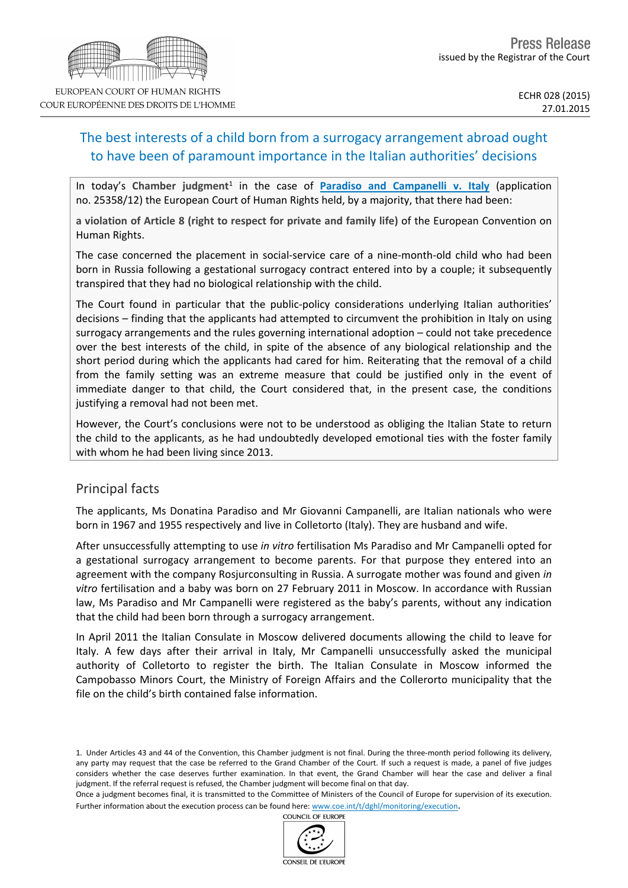# The best interests of a child born from a surrogacy arrangement abroad ought to have been of paramount importance in the Italian authorities' decisions

In today's Chamber judgment<sup>1</sup> in the case of **[Paradiso](http://hudoc.echr.coe.int/sites/eng/pages/search.aspx?i=001-151056) [and](http://hudoc.echr.coe.int/sites/eng/pages/search.aspx?i=001-151056) [Campanelli](http://hudoc.echr.coe.int/sites/eng/pages/search.aspx?i=001-151056) [v.](http://hudoc.echr.coe.int/sites/eng/pages/search.aspx?i=001-151056) [Italy](http://hudoc.echr.coe.int/sites/eng/pages/search.aspx?i=001-151056)** (application no. 25358/12) the European Court of Human Rights held, by a majority, that there had been:

**a violation of Article 8 (right to respect for private and family life)** of the European Convention on Human Rights.

The case concerned the placement in social-service care of a nine-month-old child who had been born in Russia following a gestational surrogacy contract entered into by a couple; it subsequently transpired that they had no biological relationship with the child.

The Court found in particular that the public-policy considerations underlying Italian authorities' decisions – finding that the applicants had attempted to circumvent the prohibition in Italy on using surrogacy arrangements and the rules governing international adoption – could not take precedence over the best interests of the child, in spite of the absence of any biological relationship and the short period during which the applicants had cared for him. Reiterating that the removal of a child from the family setting was an extreme measure that could be justified only in the event of immediate danger to that child, the Court considered that, in the present case, the conditions justifying a removal had not been met.

However, the Court's conclusions were not to be understood as obliging the Italian State to return the child to the applicants, as he had undoubtedly developed emotional ties with the foster family with whom he had been living since 2013.

# Principal facts

The applicants, Ms Donatina Paradiso and Mr Giovanni Campanelli, are Italian nationals who were born in 1967 and 1955 respectively and live in Colletorto (Italy). They are husband and wife.

After unsuccessfully attempting to use *in vitro* fertilisation Ms Paradiso and Mr Campanelli opted for a gestational surrogacy arrangement to become parents. For that purpose they entered into an agreement with the company Rosjurconsulting in Russia. A surrogate mother was found and given *in vitro* fertilisation and a baby was born on 27 February 2011 in Moscow. In accordance with Russian law, Ms Paradiso and Mr Campanelli were registered as the baby's parents, without any indication that the child had been born through a surrogacy arrangement.

In April 2011 the Italian Consulate in Moscow delivered documents allowing the child to leave for Italy. A few days after their arrival in Italy, Mr Campanelli unsuccessfully asked the municipal authority of Colletorto to register the birth. The Italian Consulate in Moscow informed the Campobasso Minors Court, the Ministry of Foreign Affairs and the Collerorto municipality that the file on the child's birth contained false information.

1. Under Articles 43 and 44 of the Convention, this Chamber judgment is not final. During the three-month period following its delivery, any party may request that the case be referred to the Grand Chamber of the Court. If such a request is made, a panel of five judges considers whether the case deserves further examination. In that event, the Grand Chamber will hear the case and deliver a final judgment. If the referral request is refused, the Chamber judgment will become final on that day.

Once a judgment becomes final, it is transmitted to the Committee of Ministers of the Council of Europe for supervision of its execution. Further information about the execution process can be found here: [www.coe.int/t/dghl/monitoring/execution](http://www.coe.int/t/dghl/monitoring/execution).

COUNCIL OF EUROPE



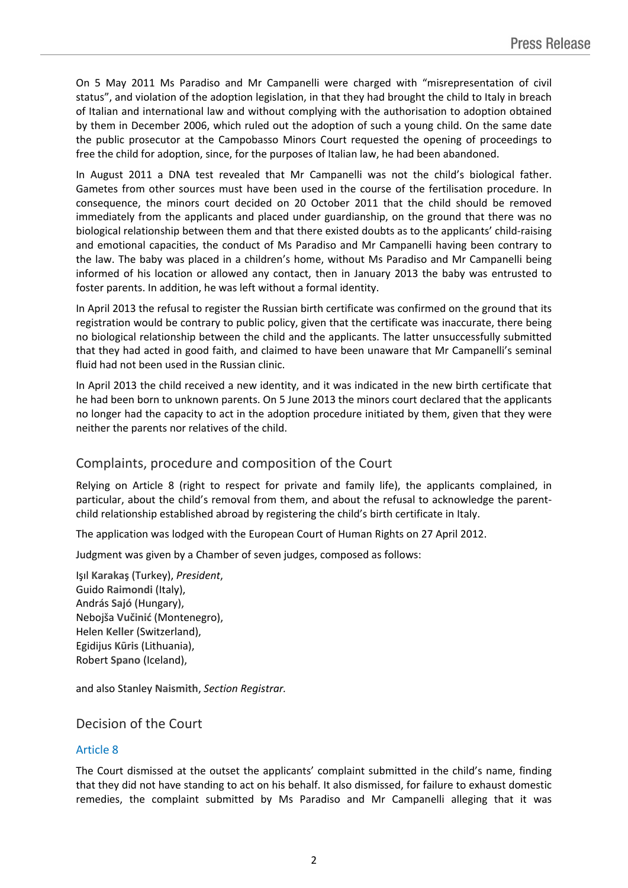On 5 May 2011 Ms Paradiso and Mr Campanelli were charged with "misrepresentation of civil status", and violation of the adoption legislation, in that they had brought the child to Italy in breach of Italian and international law and without complying with the authorisation to adoption obtained by them in December 2006, which ruled out the adoption of such a young child. On the same date the public prosecutor at the Campobasso Minors Court requested the opening of proceedings to free the child for adoption, since, for the purposes of Italian law, he had been abandoned.

In August 2011 a DNA test revealed that Mr Campanelli was not the child's biological father. Gametes from other sources must have been used in the course of the fertilisation procedure. In consequence, the minors court decided on 20 October 2011 that the child should be removed immediately from the applicants and placed under guardianship, on the ground that there was no biological relationship between them and that there existed doubts as to the applicants' child-raising and emotional capacities, the conduct of Ms Paradiso and Mr Campanelli having been contrary to the law. The baby was placed in a children's home, without Ms Paradiso and Mr Campanelli being informed of his location or allowed any contact, then in January 2013 the baby was entrusted to foster parents. In addition, he was left without a formal identity.

In April 2013 the refusal to register the Russian birth certificate was confirmed on the ground that its registration would be contrary to public policy, given that the certificate was inaccurate, there being no biological relationship between the child and the applicants. The latter unsuccessfully submitted that they had acted in good faith, and claimed to have been unaware that Mr Campanelli's seminal fluid had not been used in the Russian clinic.

In April 2013 the child received a new identity, and it was indicated in the new birth certificate that he had been born to unknown parents. On 5 June 2013 the minors court declared that the applicants no longer had the capacity to act in the adoption procedure initiated by them, given that they were neither the parents nor relatives of the child.

# Complaints, procedure and composition of the Court

Relying on Article 8 (right to respect for private and family life), the applicants complained, in particular, about the child's removal from them, and about the refusal to acknowledge the parentchild relationship established abroad by registering the child's birth certificate in Italy.

The application was lodged with the European Court of Human Rights on 27 April 2012.

Judgment was given by a Chamber of seven judges, composed as follows:

Işıl **Karakaş** (Turkey), *President*, Guido **Raimondi** (Italy), András **Sajó** (Hungary), Nebojša **Vučinić** (Montenegro), Helen **Keller** (Switzerland), Egidijus **Kūris** (Lithuania), Robert **Spano** (Iceland),

and also Stanley **Naismith**, *Section Registrar.*

### Decision of the Court

### Article 8

The Court dismissed at the outset the applicants' complaint submitted in the child's name, finding that they did not have standing to act on his behalf. It also dismissed, for failure to exhaust domestic remedies, the complaint submitted by Ms Paradiso and Mr Campanelli alleging that it was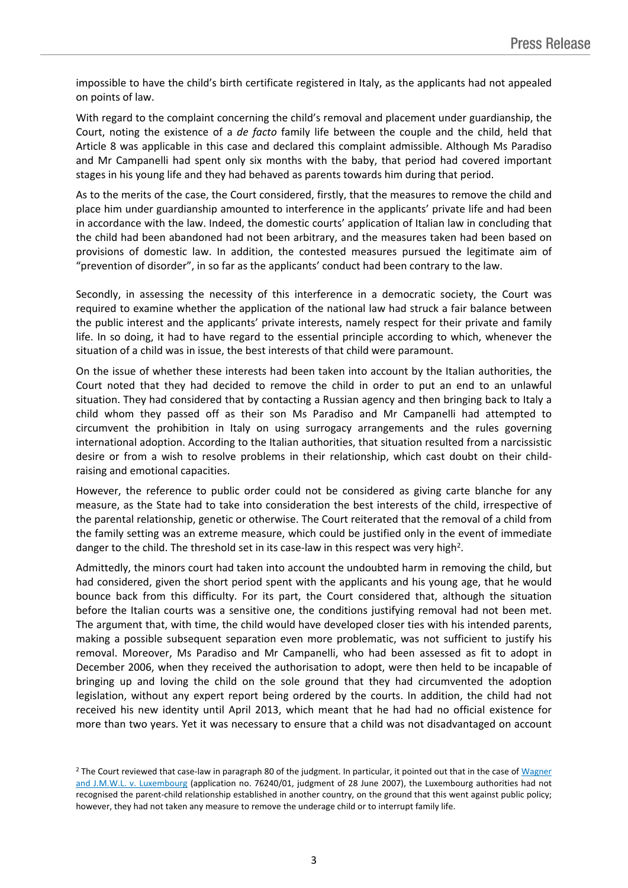impossible to have the child's birth certificate registered in Italy, as the applicants had not appealed on points of law.

With regard to the complaint concerning the child's removal and placement under guardianship, the Court, noting the existence of a *de facto* family life between the couple and the child, held that Article 8 was applicable in this case and declared this complaint admissible. Although Ms Paradiso and Mr Campanelli had spent only six months with the baby, that period had covered important stages in his young life and they had behaved as parents towards him during that period.

As to the merits of the case, the Court considered, firstly, that the measures to remove the child and place him under guardianship amounted to interference in the applicants' private life and had been in accordance with the law. Indeed, the domestic courts' application of Italian law in concluding that the child had been abandoned had not been arbitrary, and the measures taken had been based on provisions of domestic law. In addition, the contested measures pursued the legitimate aim of "prevention of disorder", in so far as the applicants' conduct had been contrary to the law.

Secondly, in assessing the necessity of this interference in a democratic society, the Court was required to examine whether the application of the national law had struck a fair balance between the public interest and the applicants' private interests, namely respect for their private and family life. In so doing, it had to have regard to the essential principle according to which, whenever the situation of a child was in issue, the best interests of that child were paramount.

On the issue of whether these interests had been taken into account by the Italian authorities, the Court noted that they had decided to remove the child in order to put an end to an unlawful situation. They had considered that by contacting a Russian agency and then bringing back to Italy a child whom they passed off as their son Ms Paradiso and Mr Campanelli had attempted to circumvent the prohibition in Italy on using surrogacy arrangements and the rules governing international adoption. According to the Italian authorities, that situation resulted from a narcissistic desire or from a wish to resolve problems in their relationship, which cast doubt on their childraising and emotional capacities.

However, the reference to public order could not be considered as giving carte blanche for any measure, as the State had to take into consideration the best interests of the child, irrespective of the parental relationship, genetic or otherwise. The Court reiterated that the removal of a child from the family setting was an extreme measure, which could be justified only in the event of immediate danger to the child. The threshold set in its case-law in this respect was very high<sup>2</sup>.

Admittedly, the minors court had taken into account the undoubted harm in removing the child, but had considered, given the short period spent with the applicants and his young age, that he would bounce back from this difficulty. For its part, the Court considered that, although the situation before the Italian courts was a sensitive one, the conditions justifying removal had not been met. The argument that, with time, the child would have developed closer ties with his intended parents, making a possible subsequent separation even more problematic, was not sufficient to justify his removal. Moreover, Ms Paradiso and Mr Campanelli, who had been assessed as fit to adopt in December 2006, when they received the authorisation to adopt, were then held to be incapable of bringing up and loving the child on the sole ground that they had circumvented the adoption legislation, without any expert report being ordered by the courts. In addition, the child had not received his new identity until April 2013, which meant that he had had no official existence for more than two years. Yet it was necessary to ensure that a child was not disadvantaged on account

<sup>&</sup>lt;sup>2</sup> The Court reviewed that case-law in paragraph 80 of the judgment. In particular, it pointed out that in the case of [Wagner](http://hudoc.echr.coe.int/sites/eng-press/pages/search.aspx#%7B) [and](http://hudoc.echr.coe.int/sites/eng-press/pages/search.aspx#%7B) [J.M.W.L.](http://hudoc.echr.coe.int/sites/eng-press/pages/search.aspx#%7B) [v.](http://hudoc.echr.coe.int/sites/eng-press/pages/search.aspx#%7B) [Luxembourg](http://hudoc.echr.coe.int/sites/eng-press/pages/search.aspx#%7B) (application no. 76240/01, judgment of 28 June 2007), the Luxembourg authorities had not recognised the parent-child relationship established in another country, on the ground that this went against public policy; however, they had not taken any measure to remove the underage child or to interrupt family life.